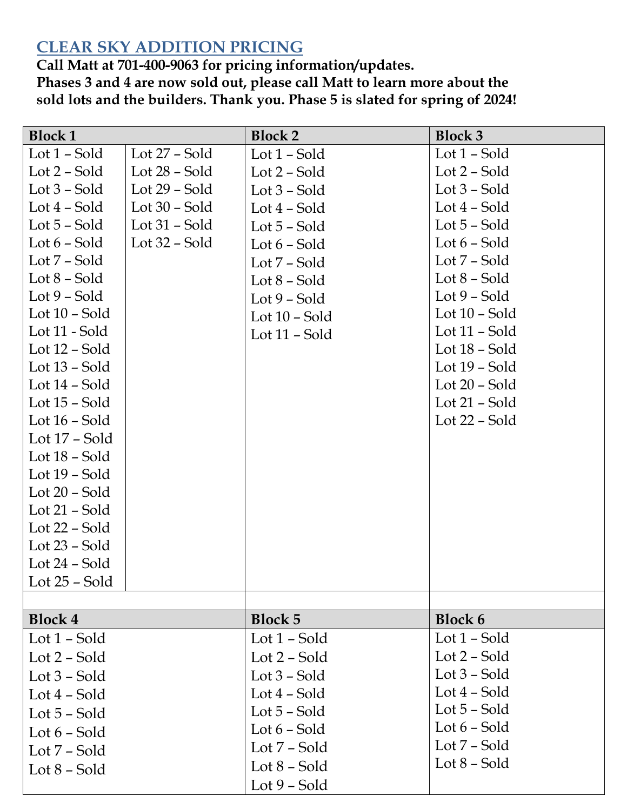## **CLEAR SKY ADDITION PRICING**

**Call Matt at 701-400-9063 for pricing information/updates. Phases 3 and 4 are now sold out, please call Matt to learn more about the sold lots and the builders. Thank you. Phase 5 is slated for spring of 2024!**

| <b>Block 1</b>                     |                 | <b>Block 2</b>  | <b>Block 3</b>  |
|------------------------------------|-----------------|-----------------|-----------------|
| Lot $1$ – Sold                     | Lot $27$ – Sold | Lot 1 – Sold    | Lot 1 – Sold    |
| Lot $2$ – Sold                     | Lot $28$ – Sold | Lot 2 – Sold    | Lot $2$ – Sold  |
| Lot $3$ – Sold                     | Lot $29$ – Sold | Lot $3$ – Sold  | Lot $3$ – Sold  |
| Lot $4$ – Sold                     | Lot $30$ – Sold | Lot $4$ – Sold  | Lot 4 – Sold    |
| Lot $5$ – Sold                     | Lot $31$ – Sold | Lot $5$ – Sold  | Lot 5 – Sold    |
| Lot $6$ – Sold                     | Lot $32$ – Sold | Lot $6$ – Sold  | Lot $6$ – Sold  |
| Lot 7 – Sold                       |                 | Lot 7 – Sold    | Lot $7$ – Sold  |
| Lot $8$ – Sold                     |                 | Lot 8 – Sold    | Lot 8 – Sold    |
| Lot $9$ – Sold                     |                 | Lot $9$ – Sold  | Lot $9$ – Sold  |
| Lot $10$ – Sold                    |                 | Lot $10$ – Sold | Lot $10$ – Sold |
| Lot 11 - Sold                      |                 | Lot 11 - Sold   | Lot 11 – Sold   |
| Lot 12 – Sold                      |                 |                 | Lot 18 – Sold   |
| Lot $13$ – Sold                    |                 |                 | Lot 19 – Sold   |
| Lot 14 – Sold                      |                 |                 | Lot $20$ – Sold |
| Lot $15$ – Sold                    |                 |                 | Lot 21 – Sold   |
| Lot $16$ – Sold                    |                 |                 | Lot 22 – Sold   |
| Lot 17 – Sold                      |                 |                 |                 |
| Lot 18 - Sold                      |                 |                 |                 |
| Lot $19$ – Sold                    |                 |                 |                 |
| Lot $20$ – Sold                    |                 |                 |                 |
| Lot 21 – Sold                      |                 |                 |                 |
| Lot $22$ – Sold<br>Lot $23$ – Sold |                 |                 |                 |
| Lot 24 – Sold                      |                 |                 |                 |
| Lot $25$ – Sold                    |                 |                 |                 |
|                                    |                 |                 |                 |
| <b>Block 4</b>                     |                 | <b>Block 5</b>  | <b>Block 6</b>  |
| Lot $1$ – Sold                     |                 | Lot 1 – Sold    | Lot 1 - Sold    |
| Lot $2$ – Sold                     |                 | Lot 2 - Sold    | Lot 2 – Sold    |
| Lot $3$ – Sold                     |                 | Lot $3$ – Sold  | Lot $3$ – Sold  |
| Lot 4 – Sold                       |                 | Lot $4$ – Sold  | Lot 4 – Sold    |
| Lot 5 – Sold                       |                 | Lot $5$ – Sold  | Lot 5 – Sold    |
| Lot $6$ – Sold                     |                 | Lot $6$ – Sold  | Lot 6 – Sold    |
| Lot 7 – Sold                       |                 | Lot 7 – Sold    | Lot 7 – Sold    |
| Lot $8$ – Sold                     |                 | Lot 8 – Sold    | Lot 8 – Sold    |
|                                    |                 | Lot $9$ – Sold  |                 |